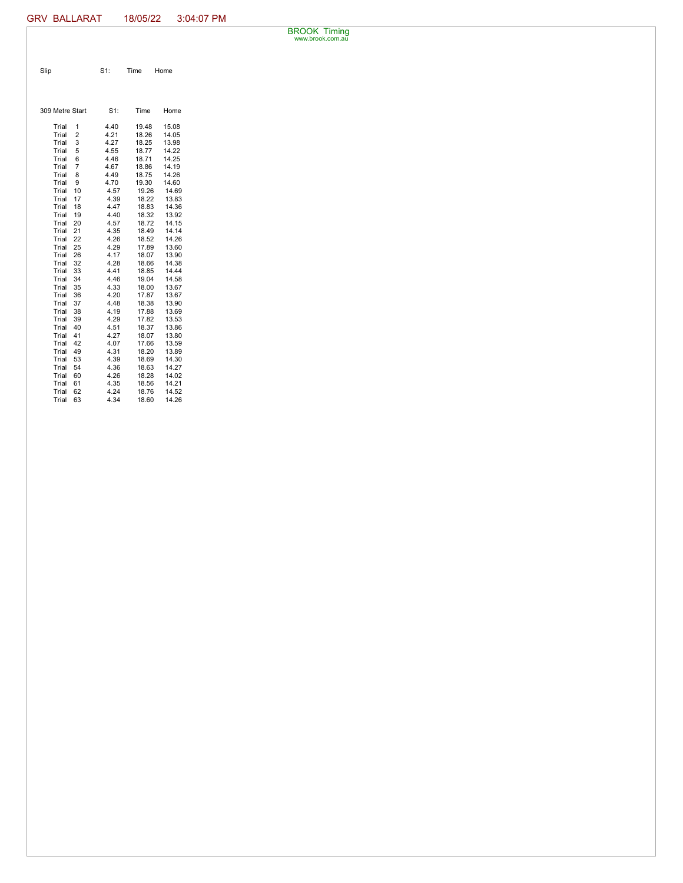BROOK Timing www.brook.com.au

| Slip | $S1$ : | Time | Home |
|------|--------|------|------|

| 309 Metre Start |                | $S1$ : | Time  | Home  |
|-----------------|----------------|--------|-------|-------|
| Trial           | 1              | 4.40   | 19.48 | 15.08 |
| Trial           | 2              | 4.21   | 18.26 | 14.05 |
| Trial           | 3              | 4.27   | 18.25 | 13.98 |
| Trial           | 5              | 4.55   | 18.77 | 14.22 |
| Trial           | 6              | 4.46   | 18.71 | 14.25 |
| Trial           | $\overline{7}$ | 4.67   | 18.86 | 14.19 |
| Trial           | 8              | 4.49   | 18.75 | 14.26 |
| Trial           | 9              | 4.70   | 19.30 | 14.60 |
| Trial           | 10             | 4.57   | 19.26 | 14.69 |
| Trial           | 17             | 4.39   | 18.22 | 13.83 |
| Trial           | 18             | 4.47   | 18.83 | 14.36 |
| Trial           | 19             | 4.40   | 18.32 | 13.92 |
| Trial           | 20             | 4.57   | 18.72 | 14.15 |
| Trial           | 21             | 4.35   | 18.49 | 14.14 |
| Trial           | 22             | 4.26   | 18.52 | 14.26 |
| Trial           | 25             | 4.29   | 17.89 | 13.60 |
| Trial           | 26             | 4.17   | 18.07 | 13.90 |
| Trial           | 32             | 4.28   | 18.66 | 14.38 |
| Trial           | 33             | 4.41   | 18.85 | 14.44 |
| Trial           | 34             | 4.46   | 19.04 | 14.58 |
| Trial           | 35             | 4.33   | 18.00 | 13.67 |
| Trial           | 36             | 4.20   | 17.87 | 13.67 |
| Trial           | 37             | 4.48   | 18.38 | 13.90 |
| Trial           | 38             | 4.19   | 17.88 | 13.69 |
| Trial           | 39             | 4.29   | 17.82 | 13.53 |
| Trial           | 40             | 4.51   | 18.37 | 13.86 |
| Trial           | 41             | 4.27   | 18.07 | 13.80 |
| Trial           | 42             | 4.07   | 17.66 | 13.59 |
| Trial           | 49             | 4.31   | 18.20 | 13.89 |
| Trial           | 53             | 4.39   | 18.69 | 14.30 |
| Trial           | 54             | 4.36   | 18.63 | 14.27 |
| Trial           | 60             | 4.26   | 18.28 | 14.02 |
| Trial           | 61             | 4.35   | 18.56 | 14.21 |
| Trial           | 62             | 4.24   | 18.76 | 14.52 |
| Trial           | 63             | 4.34   | 18.60 | 14.26 |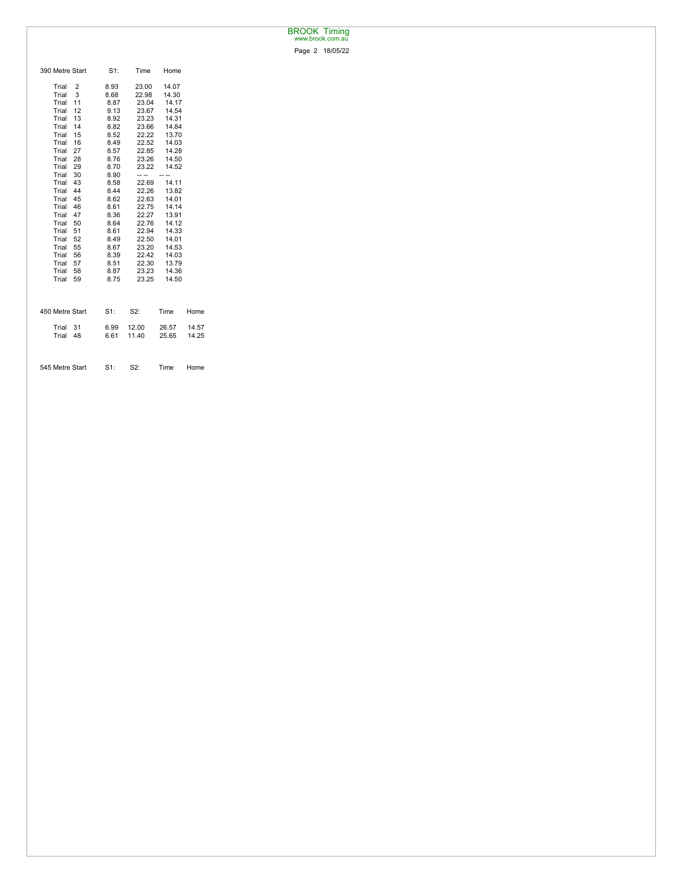## BROOK Timing www.brook.com.au

Page 2 18/05/22

| 390 Metre Start | $S1$ : | Time  | Home  |       |
|-----------------|--------|-------|-------|-------|
| Trial<br>2      | 8.93   | 23.00 | 14.07 |       |
| Trial<br>3      | 8.68   | 22.98 | 14.30 |       |
| 11<br>Trial     | 8.87   | 23.04 | 14.17 |       |
| 12<br>Trial     | 9.13   | 23.67 | 14.54 |       |
| Trial<br>13     | 8.92   | 23.23 | 14.31 |       |
| Trial<br>14     | 8.82   | 23.66 | 14.84 |       |
| Trial<br>15     | 8.52   | 22.22 | 13.70 |       |
| Trial<br>16     | 8.49   | 22.52 | 14.03 |       |
| 27<br>Trial     | 8.57   | 22.85 | 14.28 |       |
| Trial<br>28     | 8.76   | 23.26 | 14.50 |       |
| Trial<br>29     | 8.70   | 23.22 | 14.52 |       |
| Trial<br>30     | 8.90   | -- -- |       |       |
| 43<br>Trial     | 8.58   | 22.69 | 14.11 |       |
| 44<br>Trial     | 8.44   | 22.26 | 13.82 |       |
| Trial<br>45     | 8.62   | 22.63 | 14.01 |       |
| Trial<br>46     | 8.61   | 22.75 | 14.14 |       |
| Trial<br>47     | 8.36   | 22.27 | 13.91 |       |
| Trial<br>50     | 8.64   | 22.76 | 14.12 |       |
| 51<br>Trial     | 8.61   | 22.94 | 14.33 |       |
| 52<br>Trial     | 8.49   | 22.50 | 14.01 |       |
| 55<br>Trial     | 8.67   | 23.20 | 14.53 |       |
| Trial<br>56     | 8.39   | 22.42 | 14.03 |       |
| Trial<br>57     | 8.51   | 22.30 | 13.79 |       |
| Trial<br>58     | 8.87   | 23.23 | 14.36 |       |
| Trial<br>59     | 8.75   | 23.25 | 14.50 |       |
|                 |        |       |       |       |
| 450 Metre Start | $S1$ : | S2:   | Time  | Home  |
| Trial<br>31     | 6.99   | 12.00 | 26.57 | 14.57 |
| Trial<br>48     | 6.61   | 11.40 | 25.65 | 14.25 |
|                 |        |       |       |       |
| 545 Metre Start | S1:    | S2:   | Time  | Home  |